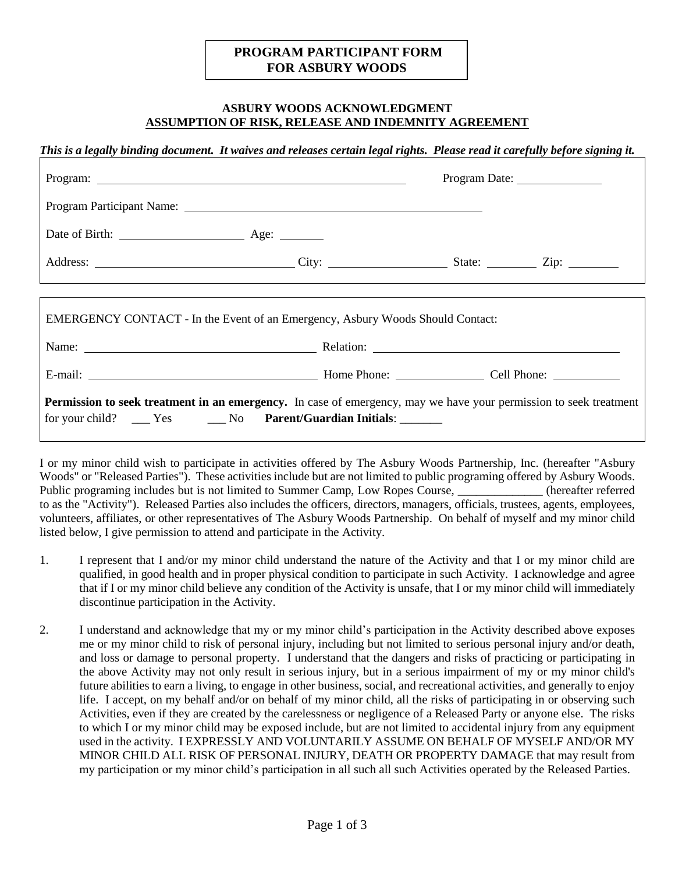## **PROGRAM PARTICIPANT FORM FOR ASBURY WOODS**

## **ASBURY WOODS ACKNOWLEDGMENT ASSUMPTION OF RISK, RELEASE AND INDEMNITY AGREEMENT**

*This is a legally binding document. It waives and releases certain legal rights. Please read it carefully before signing it.*

|                                                                                                                                                                                                         |  | Program Date: |  |  |
|---------------------------------------------------------------------------------------------------------------------------------------------------------------------------------------------------------|--|---------------|--|--|
|                                                                                                                                                                                                         |  |               |  |  |
| Date of Birth: <u>Age:</u>                                                                                                                                                                              |  |               |  |  |
|                                                                                                                                                                                                         |  |               |  |  |
|                                                                                                                                                                                                         |  |               |  |  |
| EMERGENCY CONTACT - In the Event of an Emergency, Asbury Woods Should Contact:                                                                                                                          |  |               |  |  |
|                                                                                                                                                                                                         |  |               |  |  |
| E-mail: Cell Phone: Cell Phone: Cell Phone:                                                                                                                                                             |  |               |  |  |
| <b>Permission to seek treatment in an emergency.</b> In case of emergency, may we have your permission to seek treatment<br>for your child? ______ Yes _________ No Parent/Guardian Initials: _________ |  |               |  |  |

I or my minor child wish to participate in activities offered by The Asbury Woods Partnership, Inc. (hereafter "Asbury Woods" or "Released Parties"). These activities include but are not limited to public programing offered by Asbury Woods. Public programing includes but is not limited to Summer Camp, Low Ropes Course, \_\_\_\_\_\_\_\_\_\_\_\_\_ (hereafter referred to as the "Activity"). Released Parties also includes the officers, directors, managers, officials, trustees, agents, employees, volunteers, affiliates, or other representatives of The Asbury Woods Partnership. On behalf of myself and my minor child listed below, I give permission to attend and participate in the Activity.

- 1. I represent that I and/or my minor child understand the nature of the Activity and that I or my minor child are qualified, in good health and in proper physical condition to participate in such Activity. I acknowledge and agree that if I or my minor child believe any condition of the Activity is unsafe, that I or my minor child will immediately discontinue participation in the Activity.
- 2. I understand and acknowledge that my or my minor child's participation in the Activity described above exposes me or my minor child to risk of personal injury, including but not limited to serious personal injury and/or death, and loss or damage to personal property. I understand that the dangers and risks of practicing or participating in the above Activity may not only result in serious injury, but in a serious impairment of my or my minor child's future abilities to earn a living, to engage in other business, social, and recreational activities, and generally to enjoy life. I accept, on my behalf and/or on behalf of my minor child, all the risks of participating in or observing such Activities, even if they are created by the carelessness or negligence of a Released Party or anyone else. The risks to which I or my minor child may be exposed include, but are not limited to accidental injury from any equipment used in the activity. I EXPRESSLY AND VOLUNTARILY ASSUME ON BEHALF OF MYSELF AND/OR MY MINOR CHILD ALL RISK OF PERSONAL INJURY, DEATH OR PROPERTY DAMAGE that may result from my participation or my minor child's participation in all such all such Activities operated by the Released Parties.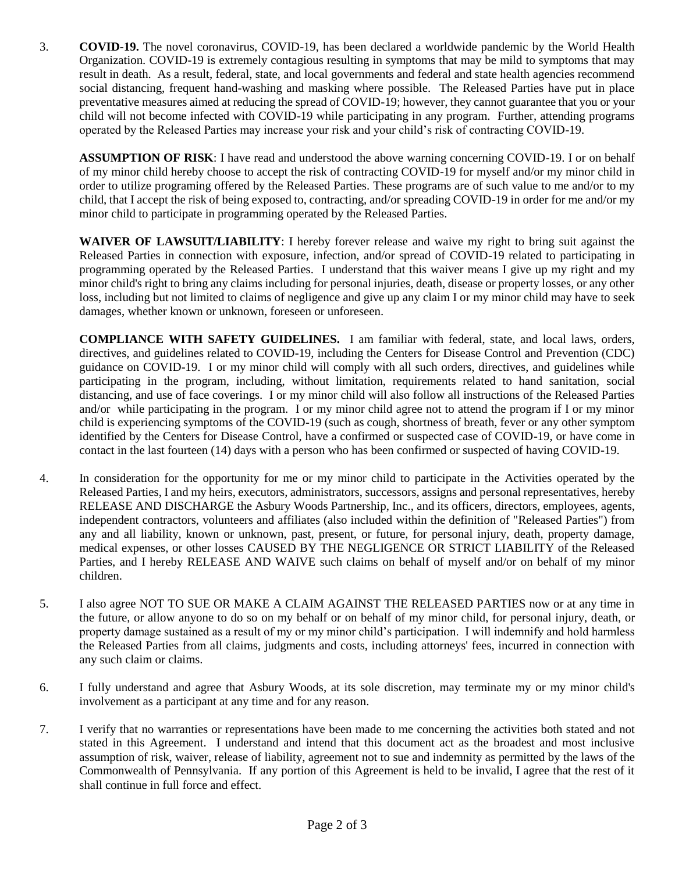3. **COVID-19.** The novel coronavirus, COVID-19, has been declared a worldwide pandemic by the World Health Organization. COVID-19 is extremely contagious resulting in symptoms that may be mild to symptoms that may result in death. As a result, federal, state, and local governments and federal and state health agencies recommend social distancing, frequent hand-washing and masking where possible. The Released Parties have put in place preventative measures aimed at reducing the spread of COVID-19; however, they cannot guarantee that you or your child will not become infected with COVID-19 while participating in any program. Further, attending programs operated by the Released Parties may increase your risk and your child's risk of contracting COVID-19.

**ASSUMPTION OF RISK**: I have read and understood the above warning concerning COVID-19. I or on behalf of my minor child hereby choose to accept the risk of contracting COVID-19 for myself and/or my minor child in order to utilize programing offered by the Released Parties. These programs are of such value to me and/or to my child, that I accept the risk of being exposed to, contracting, and/or spreading COVID-19 in order for me and/or my minor child to participate in programming operated by the Released Parties.

**WAIVER OF LAWSUIT/LIABILITY**: I hereby forever release and waive my right to bring suit against the Released Parties in connection with exposure, infection, and/or spread of COVID-19 related to participating in programming operated by the Released Parties. I understand that this waiver means I give up my right and my minor child's right to bring any claims including for personal injuries, death, disease or property losses, or any other loss, including but not limited to claims of negligence and give up any claim I or my minor child may have to seek damages, whether known or unknown, foreseen or unforeseen.

**COMPLIANCE WITH SAFETY GUIDELINES.** I am familiar with federal, state, and local laws, orders, directives, and guidelines related to COVID-19, including the Centers for Disease Control and Prevention (CDC) guidance on COVID-19. I or my minor child will comply with all such orders, directives, and guidelines while participating in the program, including, without limitation, requirements related to hand sanitation, social distancing, and use of face coverings. I or my minor child will also follow all instructions of the Released Parties and/or while participating in the program. I or my minor child agree not to attend the program if I or my minor child is experiencing symptoms of the COVID-19 (such as cough, shortness of breath, fever or any other symptom identified by the Centers for Disease Control, have a confirmed or suspected case of COVID-19, or have come in contact in the last fourteen (14) days with a person who has been confirmed or suspected of having COVID-19.

- 4. In consideration for the opportunity for me or my minor child to participate in the Activities operated by the Released Parties, I and my heirs, executors, administrators, successors, assigns and personal representatives, hereby RELEASE AND DISCHARGE the Asbury Woods Partnership, Inc., and its officers, directors, employees, agents, independent contractors, volunteers and affiliates (also included within the definition of "Released Parties") from any and all liability, known or unknown, past, present, or future, for personal injury, death, property damage, medical expenses, or other losses CAUSED BY THE NEGLIGENCE OR STRICT LIABILITY of the Released Parties, and I hereby RELEASE AND WAIVE such claims on behalf of myself and/or on behalf of my minor children.
- 5. I also agree NOT TO SUE OR MAKE A CLAIM AGAINST THE RELEASED PARTIES now or at any time in the future, or allow anyone to do so on my behalf or on behalf of my minor child, for personal injury, death, or property damage sustained as a result of my or my minor child's participation. I will indemnify and hold harmless the Released Parties from all claims, judgments and costs, including attorneys' fees, incurred in connection with any such claim or claims.
- 6. I fully understand and agree that Asbury Woods, at its sole discretion, may terminate my or my minor child's involvement as a participant at any time and for any reason.
- 7. I verify that no warranties or representations have been made to me concerning the activities both stated and not stated in this Agreement. I understand and intend that this document act as the broadest and most inclusive assumption of risk, waiver, release of liability, agreement not to sue and indemnity as permitted by the laws of the Commonwealth of Pennsylvania. If any portion of this Agreement is held to be invalid, I agree that the rest of it shall continue in full force and effect.